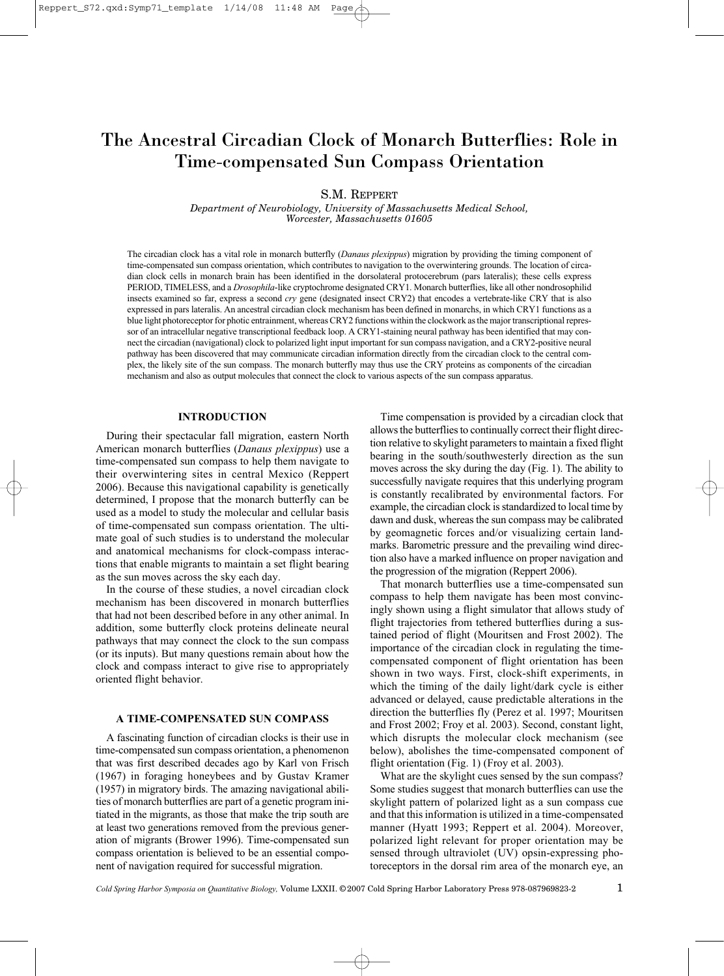# The Ancestral Circadian Clock of Monarch Butterflies: Role in Time-compensated Sun Compass Orientation

S.M. REPPERT

*Department of Neurobiology, University of Massachusetts Medical School, Worcester, Massachusetts 01605*

The circadian clock has a vital role in monarch butterfly (*Danaus plexippus*) migration by providing the timing component of time-compensated sun compass orientation, which contributes to navigation to the overwintering grounds. The location of circadian clock cells in monarch brain has been identified in the dorsolateral protocerebrum (pars lateralis); these cells express PERIOD, TIMELESS, and a *Drosophila*-like cryptochrome designated CRY1. Monarch butterflies, like all other nondrosophilid insects examined so far, express a second *cry* gene (designated insect CRY2) that encodes a vertebrate-like CRY that is also expressed in pars lateralis. An ancestral circadian clock mechanism has been defined in monarchs, in which CRY1 functions as a blue light photoreceptor for photic entrainment, whereas CRY2 functions within the clockwork as the major transcriptional repressor of an intracellular negative transcriptional feedback loop. A CRY1-staining neural pathway has been identified that may connect the circadian (navigational) clock to polarized light input important for sun compass navigation, and a CRY2-positive neural pathway has been discovered that may communicate circadian information directly from the circadian clock to the central complex, the likely site of the sun compass. The monarch butterfly may thus use the CRY proteins as components of the circadian mechanism and also as output molecules that connect the clock to various aspects of the sun compass apparatus.

# **INTRODUCTION**

During their spectacular fall migration, eastern North American monarch butterflies (*Danaus plexippus*) use a time-compensated sun compass to help them navigate to their overwintering sites in central Mexico (Reppert 2006). Because this navigational capability is genetically determined, I propose that the monarch butterfly can be used as a model to study the molecular and cellular basis of time-compensated sun compass orientation. The ultimate goal of such studies is to understand the molecular and anatomical mechanisms for clock-compass interactions that enable migrants to maintain a set flight bearing as the sun moves across the sky each day.

In the course of these studies, a novel circadian clock mechanism has been discovered in monarch butterflies that had not been described before in any other animal. In addition, some butterfly clock proteins delineate neural pathways that may connect the clock to the sun compass (or its inputs). But many questions remain about how the clock and compass interact to give rise to appropriately oriented flight behavior.

# **A TIME-COMPENSATED SUN COMPASS**

A fascinating function of circadian clocks is their use in time-compensated sun compass orientation, a phenomenon that was first described decades ago by Karl von Frisch (1967) in foraging honeybees and by Gustav Kramer (1957) in migratory birds. The amazing navigational abilities of monarch butterflies are part of a genetic program initiated in the migrants, as those that make the trip south are at least two generations removed from the previous generation of migrants (Brower 1996). Time-compensated sun compass orientation is believed to be an essential component of navigation required for successful migration.

Time compensation is provided by a circadian clock that allows the butterflies to continually correct their flight direction relative to skylight parameters to maintain a fixed flight bearing in the south/southwesterly direction as the sun moves across the sky during the day (Fig. 1). The ability to successfully navigate requires that this underlying program is constantly recalibrated by environmental factors. For example, the circadian clock is standardized to local time by dawn and dusk, whereas the sun compass may be calibrated by geomagnetic forces and/or visualizing certain landmarks. Barometric pressure and the prevailing wind direction also have a marked influence on proper navigation and the progression of the migration (Reppert 2006).

That monarch butterflies use a time-compensated sun compass to help them navigate has been most convincingly shown using a flight simulator that allows study of flight trajectories from tethered butterflies during a sustained period of flight (Mouritsen and Frost 2002). The importance of the circadian clock in regulating the timecompensated component of flight orientation has been shown in two ways. First, clock-shift experiments, in which the timing of the daily light/dark cycle is either advanced or delayed, cause predictable alterations in the direction the butterflies fly (Perez et al. 1997; Mouritsen and Frost 2002; Froy et al. 2003). Second, constant light, which disrupts the molecular clock mechanism (see below), abolishes the time-compensated component of flight orientation (Fig. 1) (Froy et al. 2003).

What are the skylight cues sensed by the sun compass? Some studies suggest that monarch butterflies can use the skylight pattern of polarized light as a sun compass cue and that this information is utilized in a time-compensated manner (Hyatt 1993; Reppert et al. 2004). Moreover, polarized light relevant for proper orientation may be sensed through ultraviolet (UV) opsin-expressing photoreceptors in the dorsal rim area of the monarch eye, an

*Cold Spring Harbor Symposia on Quantitative Biology,* Volume LXXII. © 2007 Cold Spring Harbor Laboratory Press 978-087969823-2 1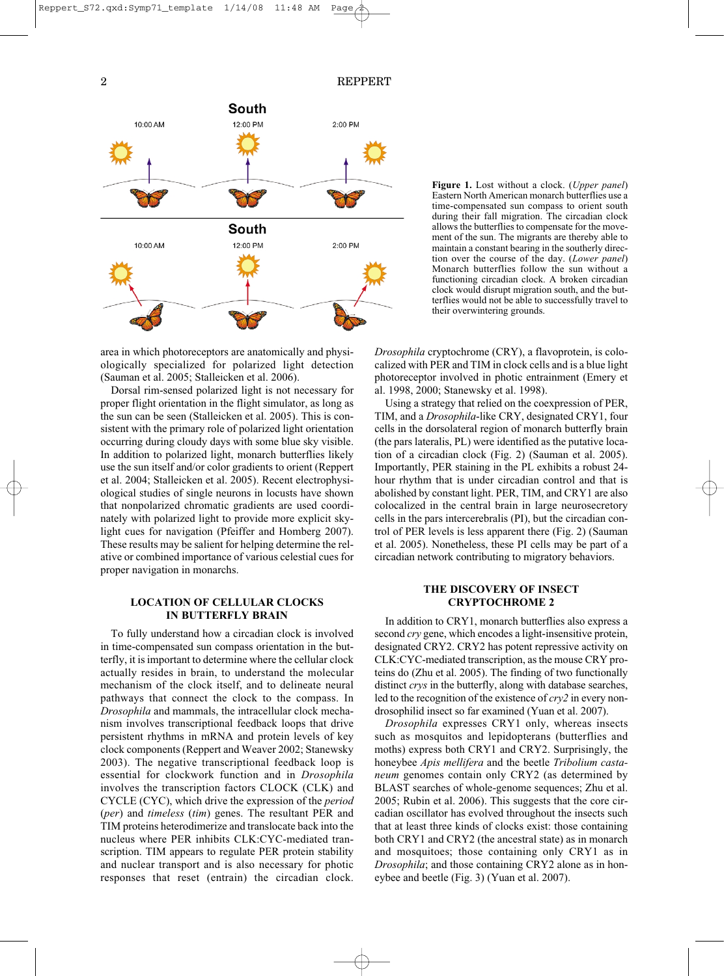2 REPPERT



area in which photoreceptors are anatomically and physiologically specialized for polarized light detection (Sauman et al. 2005; Stalleicken et al. 2006).

Dorsal rim-sensed polarized light is not necessary for proper flight orientation in the flight simulator, as long as the sun can be seen (Stalleicken et al. 2005). This is consistent with the primary role of polarized light orientation occurring during cloudy days with some blue sky visible. In addition to polarized light, monarch butterflies likely use the sun itself and/or color gradients to orient (Reppert et al. 2004; Stalleicken et al. 2005). Recent electrophysiological studies of single neurons in locusts have shown that nonpolarized chromatic gradients are used coordinately with polarized light to provide more explicit skylight cues for navigation (Pfeiffer and Homberg 2007). These results may be salient for helping determine the relative or combined importance of various celestial cues for proper navigation in monarchs.

## **LOCATION OF CELLULAR CLOCKS IN BUTTERFLY**

To fully understand how a circadian clock is involved in time-compensated sun compass orientation in the butterfly, it is important to determine where the cellular clock actually resides in brain, to understand the molecular mechanism of the clock itself, and to delineate neural pathways that connect the clock to the compass. In *Drosophila* and mammals, the intracellular clock mechanism involves transcriptional feedback loops that drive persistent rhythms in mRNA and protein levels of key clock components (Reppert and Weaver 2002; Stanewsky 2003). The negative transcriptional feedback loop is essential for clockwork function and in *Drosophila* involves the transcription factors CLOCK (CLK) and CYCLE (CYC), which drive the expression of the *period* (*per*) and *timeless* (*tim*) genes. The resultant PER and TIM proteins heterodimerize and translocate back into the nucleus where PER inhibits CLK:CYC-mediated transcription. TIM appears to regulate PER protein stability and nuclear transport and is also necessary for photic responses that reset (entrain) the circadian clock.

**Figure 1.** Lost without a clock. (*Upper panel*) Eastern North American monarch butterflies use a time-compensated sun compass to orient south during their fall migration. The circadian clock allows the butterflies to compensate for the movement of the sun. The migrants are thereby able to maintain a constant bearing in the southerly direction over the course of the day. (*Lower panel*) Monarch butterflies follow the sun without a functioning circadian clock. A broken circadian clock would disrupt migration south, and the butterflies would not be able to successfully travel to their overwintering grounds.

*Drosophila* cryptochrome (CRY), a flavoprotein, is colocalized with PER and TIM in clock cells and is a blue light photoreceptor involved in photic entrainment (Emery et al. 1998, 2000; Stanewsky et al. 1998).

Using a strategy that relied on the coexpression of PER, TIM, and a *Drosophila*-like CRY, designated CRY1, four cells in the dorsolateral region of monarch butterfly brain (the pars lateralis, PL) were identified as the putative location of a circadian clock (Fig. 2) (Sauman et al. 2005). Importantly, PER staining in the PL exhibits a robust 24 hour rhythm that is under circadian control and that is abolished by constant light. PER, TIM, and CRY1 are also colocalized in the central brain in large neurosecretory cells in the pars intercerebralis (PI), but the circadian control of PER levels is less apparent there (Fig. 2) (Sauman et al. 2005). Nonetheless, these PI cells may be part of a circadian network contributing to migratory behaviors.

## **THE DISCOVERY OF INSECT CRYPTOCHROME 2**

In addition to CRY1, monarch butterflies also express a second *cry* gene, which encodes a light-insensitive protein, designated CRY2. CRY2 has potent repressive activity on CLK:CYC-mediated transcription, as the mouse CRY proteins do (Zhu et al. 2005). The finding of two functionally distinct *crys* in the butterfly, along with database searches, led to the recognition of the existence of *cry2* in every nondrosophilid insect so far examined (Yuan et al. 2007).

*Drosophila* expresses CRY1 only, whereas insects such as mosquitos and lepidopterans (butterflies and moths) express both CRY1 and CRY2. Surprisingly, the honeybee *Apis mellifera* and the beetle *Tribolium castaneum* genomes contain only CRY2 (as determined by BLAST searches of whole-genome sequences; Zhu et al. 2005; Rubin et al. 2006). This suggests that the core circadian oscillator has evolved throughout the insects such that at least three kinds of clocks exist: those containing both CRY1 and CRY2 (the ancestral state) as in monarch and mosquitoes; those containing only CRY1 as in *Drosophila*; and those containing CRY2 alone as in honeybee and beetle (Fig. 3) (Yuan et al. 2007).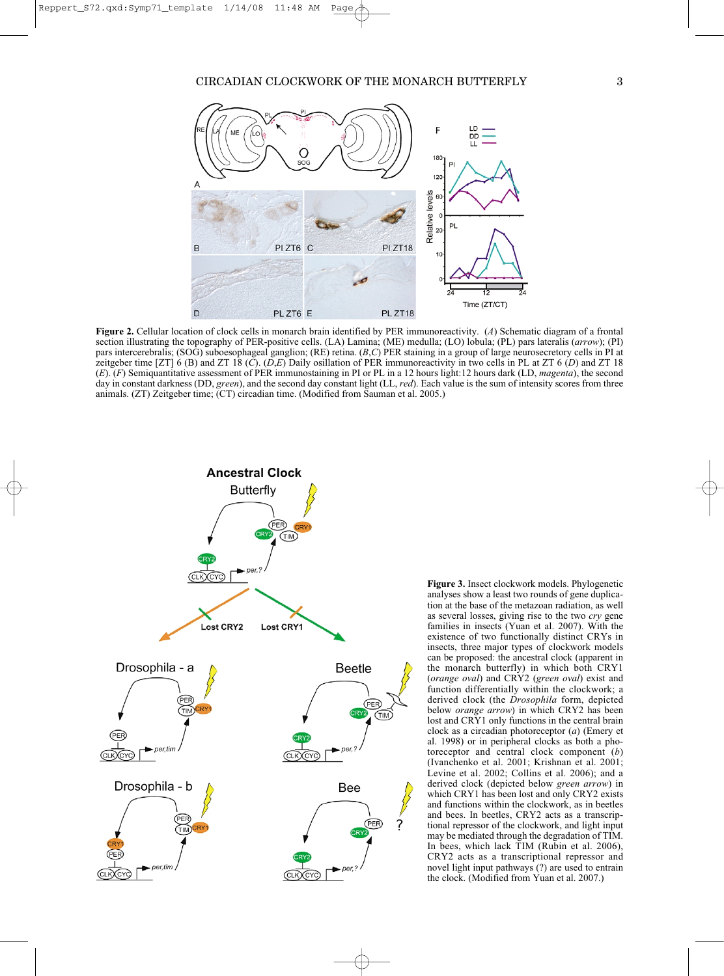## CIRCADIAN CLOCKWORK OF THE MONARCH BUTTERFLY 3



Figure 2. Cellular location of clock cells in monarch brain identified by PER immunoreactivity. (A) Schematic diagram of a frontal<br>section illustrating the topography of PER-positive cells. (LA) Lamina; (ME) medulla; (LO) pars intercerebralis; (SOG) suboesophageal ganglion; (RE) retina. (*B*,*C*) PER staining in a group of large neurosecretory cells in PI at zeitgeber time [ZT] 6 (B) and ZT 18 (*C*). (*D*,*E*) Daily osillation of PER immunoreactivity in two cells in PL at ZT 6 (*D*) and ZT 18 (*E*). (*F*) Semiquantitative assessment of PER immunostaining in PI or PL in a 12 hours light:12 hours dark (LD, *magenta*), the second day in constant darkness (DD, *green*), and the second day constant light (LL, *red*). Each value is the sum of intensity scores from three animals. (ZT) Zeitgeber time; (CT) circadian time. (Modified from Sauman et al. 2005.)



**Figure 3.** Insect clockwork models. Phylogenetic analyses show a least two rounds of gene duplication at the base of the metazoan radiation, as well as several losses, giving rise to the two *cry* gene families in insects (Yuan et al. 2007). With the existence of two functionally distinct CRYs in insects, three major types of clockwork models can be proposed: the ancestral clock (apparent in the monarch butterfly) in which both CRY1 (*orange oval*) and CRY2 (*green oval*) exist and function differentially within the clockwork; a derived clock (the *Drosophila* form, depicted below *orange arrow*) in which CRY2 has been lost and CRY1 only functions in the central brain clock as a circadian photoreceptor (*a*) (Emery et al. 1998) or in peripheral clocks as both a photoreceptor and central clock component (*b*) (Ivanchenko et al. 2001; Krishnan et al. 2001; Levine et al. 2002; Collins et al. 2006); and a derived clock (depicted below *green arrow*) in which CRY1 has been lost and only CRY2 exists and functions within the clockwork, as in beetles and bees. In beetles, CRY2 acts as a transcriptional repressor of the clockwork, and light input may be mediated through the degradation of TIM. In bees, which lack TIM (Rubin et al. 2006), CRY2 acts as a transcriptional repressor and novel light input pathways (?) are used to entrain the clock. (Modified from Yuan et al. 2007.)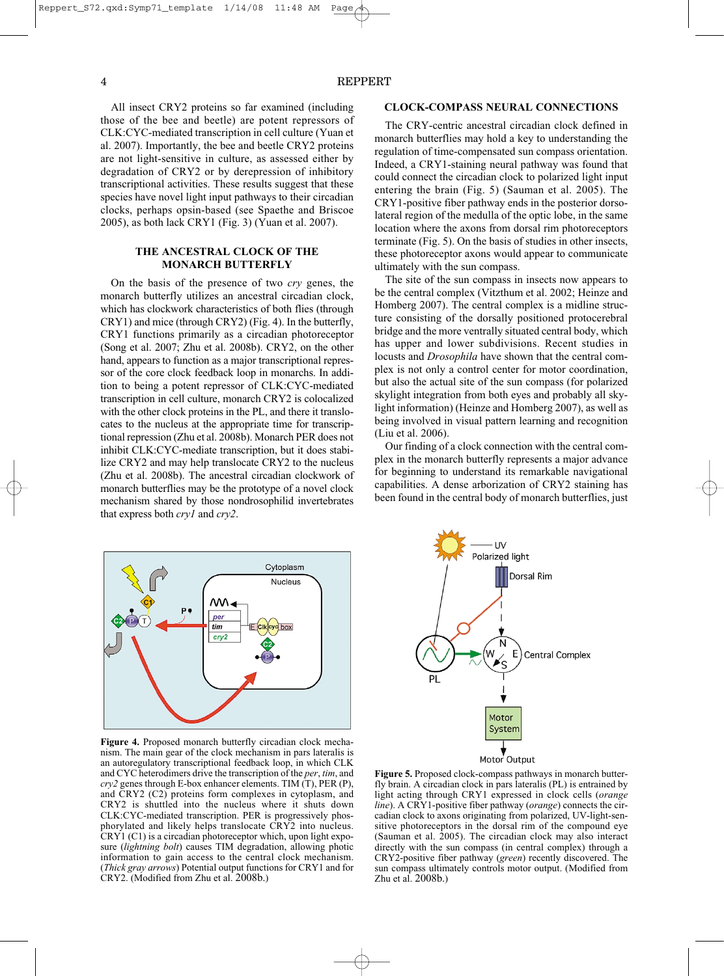## 4 REPPERT

All insect CRY2 proteins so far examined (including those of the bee and beetle) are potent repressors of CLK:CYC-mediated transcription in cell culture (Yuan et al. 2007). Importantly, the bee and beetle CRY2 proteins are not light-sensitive in culture, as assessed either by degradation of CRY2 or by derepression of inhibitory transcriptional activities. These results suggest that these species have novel light input pathways to their circadian clocks, perhaps opsin-based (see Spaethe and Briscoe 2005), as both lack CRY1 (Fig. 3) (Yuan et al. 2007).

## **THE ANCESTRAL CLOCK OF THE MONARCH BUTTERFLY**

On the basis of the presence of two *cry* genes, the monarch butterfly utilizes an ancestral circadian clock, which has clockwork characteristics of both flies (through CRY1) and mice (through CRY2) (Fig. 4). In the butterfly, CRY1 functions primarily as a circadian photoreceptor (Song et al. 2007; Zhu et al. 2008b). CRY2, on the other hand, appears to function as a major transcriptional repressor of the core clock feedback loop in monarchs. In addition to being a potent repressor of CLK:CYC-mediated transcription in cell culture, monarch CRY2 is colocalized with the other clock proteins in the PL, and there it translocates to the nucleus at the appropriate time for transcriptional repression (Zhu et al. 2008b). Monarch PER does not inhibit CLK:CYC-mediate transcription, but it does stabilize CRY2 and may help translocate CRY2 to the nucleus (Zhu et al. 2008b). The ancestral circadian clockwork of monarch butterflies may be the prototype of a novel clock mechanism shared by those nondrosophilid invertebrates that express both *cry1* and *cry2*.

# **CLOCK-COMPASS NEURAL CONNECTIONS**

The CRY-centric ancestral circadian clock defined in monarch butterflies may hold a key to understanding the regulation of time-compensated sun compass orientation. Indeed, a CRY1-staining neural pathway was found that could connect the circadian clock to polarized light input entering the brain (Fig. 5) (Sauman et al. 2005). The CRY1-positive fiber pathway ends in the posterior dorsolateral region of the medulla of the optic lobe, in the same location where the axons from dorsal rim photoreceptors terminate (Fig. 5). On the basis of studies in other insects, these photoreceptor axons would appear to communicate ultimately with the sun compass.

The site of the sun compass in insects now appears to be the central complex (Vitzthum et al. 2002; Heinze and Homberg 2007). The central complex is a midline structure consisting of the dorsally positioned protocerebral bridge and the more ventrally situated central body, which has upper and lower subdivisions. Recent studies in locusts and *Drosophila* have shown that the central complex is not only a control center for motor coordination, but also the actual site of the sun compass (for polarized skylight integration from both eyes and probably all skylight information) (Heinze and Homberg 2007), as well as being involved in visual pattern learning and recognition (Liu et al. 2006).

Our finding of a clock connection with the central complex in the monarch butterfly represents a major advance for beginning to understand its remarkable navigational capabilities. A dense arborization of CRY2 staining has been found in the central body of monarch butterflies, just



**Figure 4.** Proposed monarch butterfly circadian clock mechanism. The main gear of the clock mechanism in pars lateralis is an autoregulatory transcriptional feedback loop, in which CLK and CYC heterodimers drive the transcription of the *per*, *tim*, and *cry2* genes through E-box enhancer elements. TIM (T), PER (P), and CRY2 (C2) proteins form complexes in cytoplasm, and CRY2 is shuttled into the nucleus where it shuts down CLK:CYC-mediated transcription. PER is progressively phosphorylated and likely helps translocate CRY2 into nucleus. CRY1 (C1) is a circadian photoreceptor which, upon light exposure (*lightning bolt*) causes TIM degradation, allowing photic information to gain access to the central clock mechanism. (*Thick gray arrows*) Potential output functions for CRY1 and for CRY2. (Modified from Zhu et al. 2008b.)



**Figure 5.** Proposed clock-compass pathways in monarch butterfly brain. A circadian clock in pars lateralis (PL) is entrained by light acting through CRY1 expressed in clock cells (*orange line*). A CRY1-positive fiber pathway (*orange*) connects the circadian clock to axons originating from polarized, UV-light-sensitive photoreceptors in the dorsal rim of the compound eye (Sauman et al. 2005). The circadian clock may also interact directly with the sun compass (in central complex) through a CRY2-positive fiber pathway (*green*) recently discovered. The sun compass ultimately controls motor output. (Modified from Zhu et al. 2008b.)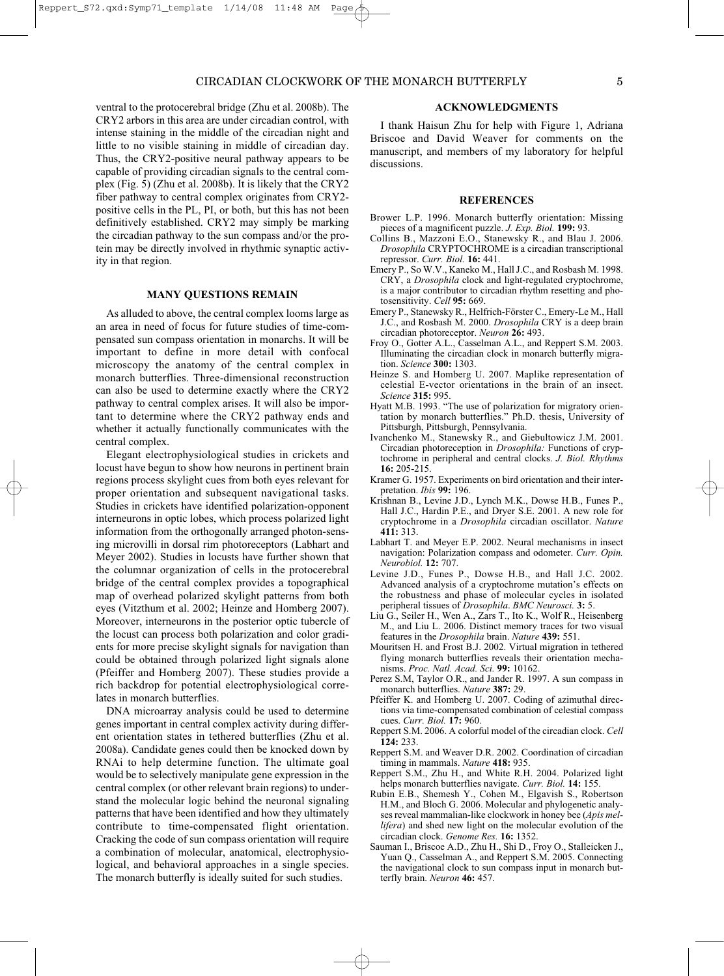#### CIRCADIAN CLOCKWORK OF THE MONARCH BUTTERFLY  $5$

ventral to the protocerebral bridge (Zhu et al. 2008b). The CRY2 arbors in this area are under circadian control, with intense staining in the middle of the circadian night and little to no visible staining in middle of circadian day. Thus, the CRY2-positive neural pathway appears to be capable of providing circadian signals to the central complex (Fig. 5) (Zhu et al. 2008b). It is likely that the CRY2 fiber pathway to central complex originates from CRY2 positive cells in the PL, PI, or both, but this has not been definitively established. CRY2 may simply be marking the circadian pathway to the sun compass and/or the protein may be directly involved in rhythmic synaptic activity in that region.

# **MANY QUESTIONS REMAIN**

As alluded to above, the central complex looms large as an area in need of focus for future studies of time-compensated sun compass orientation in monarchs. It will be important to define in more detail with confocal microscopy the anatomy of the central complex in monarch butterflies. Three-dimensional reconstruction can also be used to determine exactly where the CRY2 pathway to central complex arises. It will also be important to determine where the CRY2 pathway ends and whether it actually functionally communicates with the central complex.

Elegant electrophysiological studies in crickets and locust have begun to show how neurons in pertinent brain regions process skylight cues from both eyes relevant for proper orientation and subsequent navigational tasks. Studies in crickets have identified polarization-opponent interneurons in optic lobes, which process polarized light information from the orthogonally arranged photon-sensing microvilli in dorsal rim photoreceptors (Labhart and Meyer 2002). Studies in locusts have further shown that the columnar organization of cells in the protocerebral bridge of the central complex provides a topographical map of overhead polarized skylight patterns from both eyes (Vitzthum et al. 2002; Heinze and Homberg 2007). Moreover, interneurons in the posterior optic tubercle of the locust can process both polarization and color gradients for more precise skylight signals for navigation than could be obtained through polarized light signals alone (Pfeiffer and Homberg 2007). These studies provide a rich backdrop for potential electrophysiological correlates in monarch butterflies.

DNA microarray analysis could be used to determine genes important in central complex activity during different orientation states in tethered butterflies (Zhu et al. 2008a). Candidate genes could then be knocked down by RNAi to help determine function. The ultimate goal would be to selectively manipulate gene expression in the central complex (or other relevant brain regions) to understand the molecular logic behind the neuronal signaling patterns that have been identified and how they ultimately contribute to time-compensated flight orientation. Cracking the code of sun compass orientation will require a combination of molecular, anatomical, electrophysiological, and behavioral approaches in a single species. The monarch butterfly is ideally suited for such studies.

#### **ACKNOWLEDGMENTS ACKNOWLEDGMENTS**

I thank Haisun Zhu for help with Figure 1, Adriana Briscoe and David Weaver for comments on the manuscript, and members of my laboratory for helpful discussions.

- **Brower L.P. 1996. Monarch butterfly orientation: Missing** pieces of a magnificent puzzle. *J. Exp. Biol.* **199:** 93. Collins B., Mazzoni E.O., Stanewsky R., and Blau J. 2006.
- *Drosophila* CRYPTOCHROME is a circadian transcriptional repressor. *Curr. Biol.* **16:** 441.
- Emery P., So W.V., Kaneko M., Hall J.C., and Rosbash M. 1998. CRY, a *Drosophila* clock and light-regulated cryptochrome, is a major contributor to circadian rhythm resetting and photosensitivity. *Cell* **95:** 669.
- Emery P., Stanewsky R., Helfrich-Förster C., Emery-Le M., Hall J.C., and Rosbash M. 2000. *Drosophila* CRY is a deep brain circadian photoreceptor. *Neuron* **26:** 493.
- Froy O., Gotter A.L., Casselman A.L., and Reppert S.M. 2003. Illuminating the circadian clock in monarch butterfly migration. Science 300: 1303.
- tion. *Science* **300:** 1303. Heinze S. and Homberg U. 2007. Maplike representation of celestial E-vector orientations in the brain of an insect.<br>Science 315: 995.
- *Science* **315:** 995. Hyatt M.B. 1993. "The use of polarization for migratory orientation by monarch butterflies." Ph.D. thesis, University of Pittsburgh, Pittsburgh, Pennsylvania.
- Ivanchenko M., Stanewsky R., and Giebultowicz J.M. 2001. Circadian photoreception in *Drosophila:* Functions of cryptochrome in peripheral and central clocks. *J. Biol. Rhythms*
- **16:** 205-215. Kramer G. 1957. Experiments on bird orientation and their interpretation. *Ibis* **99:** 196.
- Krishnan B., Levine J.D., Lynch M.K., Dowse H.B., Funes P., Hall J.C., Hardin P.E., and Dryer S.E. 2001. A new role for cryptochrome in a *Drosophila* circadian oscillator. *Nature* **411:** 313. Labhart T. and Meyer E.P. 2002. Neural mechanisms in insect
- navigation: Polarization compass and odometer. *Curr. Opin. Neurobiol.* **12:** 707.
- Levine J.D., Funes P., Dowse H.B., and Hall J.C. 2002. Advanced analysis of a cryptochrome mutation's effects on the robustness and phase of molecular cycles in isolated peripheral tissues of *Drosophila. BMC Neurosci*. 3: 5.
- peripheral tissues of *Drosophila*. *BMC Neurosci.* **3:** 5. Liu G., Seiler H., Wen A., Zars T., Ito K., Wolf R., Heisenberg M., and Liu L. 2006. Distinct memory traces for two visual features in the *Drosophila* brain. *Nature* **439:** 551.
- Mouritsen H. and Frost B.J. 2002. Virtual migration in tethered flying monarch butterflies reveals their orientation mechanisms. *Proc. Natl. Acad. Sci.* **99:** 10162.
- Perez S.M, Taylor O.R., and Jander R. 1997. A sun compass in monarch butterflies. *Nature* **387:** 29.
- Pfeiffer K. and Homberg U. 2007. Coding of azimuthal directions via time-compensated combination of celestial compass cues. *Curr. Biol.* **17:** 960.
- Reppert S.M. 2006. A colorful model of the circadian clock. *Cell*
- **124:** 233. Reppert S.M. and Weaver D.R. 2002. Coordination of circadian timing in mammals. *Nature* **418:** 935.
- Reppert S.M., Zhu H., and White R.H. 2004. Polarized light helps monarch butterflies navigate. *Curr. Biol.* **14:** 155.
- Rubin E.B., Shemesh Y., Cohen M., Elgavish S., Robertson H.M., and Bloch G. 2006. Molecular and phylogenetic analyses reveal mammalian-like clockwork in honey bee (*Apis mellifera*) and shed new light on the molecular evolution of the circadian clock. *Genome Res.* **16:** 1352.
- Sauman I., Briscoe A.D., Zhu H., Shi D., Froy O., Stalleicken J., Yuan Q., Casselman A., and Reppert S.M. 2005. Connecting the navigational clock to sun compass input in monarch butterfly brain. *Neuron* **46:** 457.